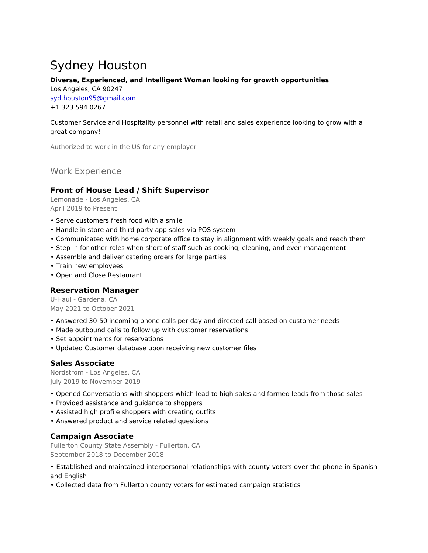# Sydney Houston

#### **Diverse, Experienced, and Intelligent Woman looking for growth opportunities**

Los Angeles, CA 90247 syd.houston95@gmail.com +1 323 594 0267

#### Customer Service and Hospitality personnel with retail and sales experience looking to grow with a great company!

Authorized to work in the US for any employer

# Work Experience

# **Front of House Lead / Shift Supervisor**

Lemonade - Los Angeles, CA April 2019 to Present

- Serve customers fresh food with a smile
- Handle in store and third party app sales via POS system
- Communicated with home corporate office to stay in alignment with weekly goals and reach them
- Step in for other roles when short of staff such as cooking, cleaning, and even management
- Assemble and deliver catering orders for large parties
- Train new employees
- Open and Close Restaurant

#### **Reservation Manager**

U-Haul - Gardena, CA May 2021 to October 2021

- Answered 30-50 incoming phone calls per day and directed call based on customer needs
- Made outbound calls to follow up with customer reservations
- Set appointments for reservations
- Updated Customer database upon receiving new customer files

# **Sales Associate**

Nordstrom - Los Angeles, CA July 2019 to November 2019

- Opened Conversations with shoppers which lead to high sales and farmed leads from those sales
- Provided assistance and guidance to shoppers
- Assisted high profile shoppers with creating outfits
- Answered product and service related questions

# **Campaign Associate**

Fullerton County State Assembly - Fullerton, CA September 2018 to December 2018

- Established and maintained interpersonal relationships with county voters over the phone in Spanish and English
- Collected data from Fullerton county voters for estimated campaign statistics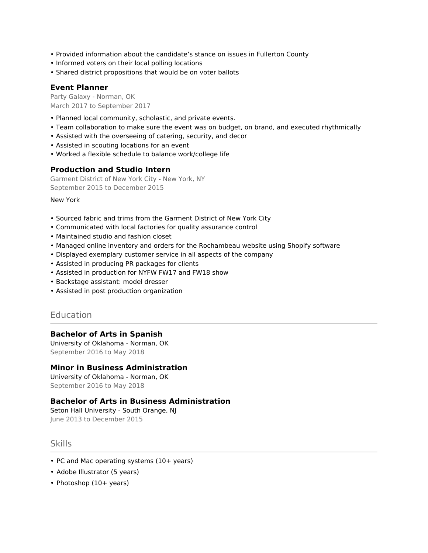- Provided information about the candidate's stance on issues in Fullerton County
- Informed voters on their local polling locations
- Shared district propositions that would be on voter ballots

## **Event Planner**

Party Galaxy - Norman, OK March 2017 to September 2017

- Planned local community, scholastic, and private events.
- Team collaboration to make sure the event was on budget, on brand, and executed rhythmically
- Assisted with the overseeing of catering, security, and decor
- Assisted in scouting locations for an event
- Worked a flexible schedule to balance work/college life

## **Production and Studio Intern**

Garment District of New York City - New York, NY September 2015 to December 2015

New York

- Sourced fabric and trims from the Garment District of New York City
- Communicated with local factories for quality assurance control
- Maintained studio and fashion closet
- Managed online inventory and orders for the Rochambeau website using Shopify software
- Displayed exemplary customer service in all aspects of the company
- Assisted in producing PR packages for clients
- Assisted in production for NYFW FW17 and FW18 show
- Backstage assistant: model dresser
- Assisted in post production organization

# **Education**

# **Bachelor of Arts in Spanish**

University of Oklahoma - Norman, OK September 2016 to May 2018

#### **Minor in Business Administration**

University of Oklahoma - Norman, OK September 2016 to May 2018

#### **Bachelor of Arts in Business Administration**

Seton Hall University - South Orange, NJ June 2013 to December 2015

#### **Skills**

- PC and Mac operating systems (10+ years)
- Adobe Illustrator (5 years)
- Photoshop (10+ years)